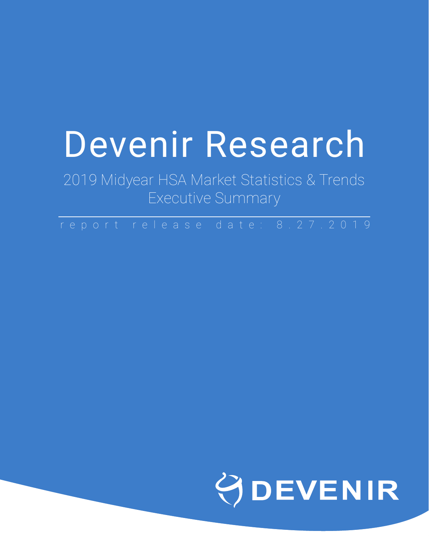# Devenir Research

2019 Midyear HSA Market Statistics & Trends Executive Summary

report release date: 8.27.2019

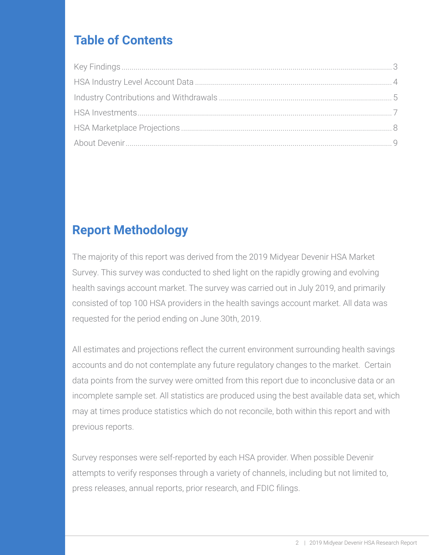# **Table of Contents**

# **Report Methodology**

The majority of this report was derived from the 2019 Midyear Devenir HSA Market Survey. This survey was conducted to shed light on the rapidly growing and evolving health savings account market. The survey was carried out in July 2019, and primarily consisted of top 100 HSA providers in the health savings account market. All data was requested for the period ending on June 30th, 2019.

All estimates and projections reflect the current environment surrounding health savings accounts and do not contemplate any future regulatory changes to the market. Certain data points from the survey were omitted from this report due to inconclusive data or an incomplete sample set. All statistics are produced using the best available data set, which may at times produce statistics which do not reconcile, both within this report and with previous reports.

Survey responses were self-reported by each HSA provider. When possible Devenir attempts to verify responses through a variety of channels, including but not limited to, press releases, annual reports, prior research, and FDIC filings.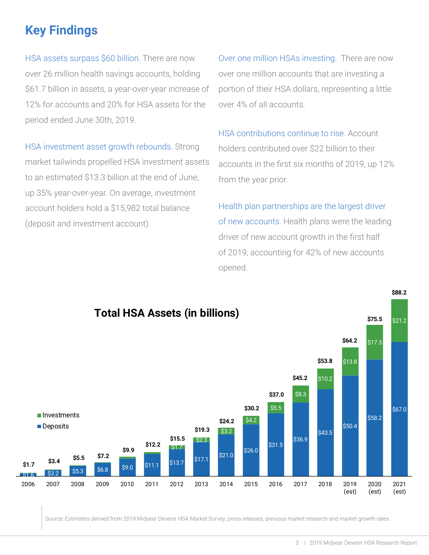# <span id="page-2-0"></span>**Key Findings**

HSA assets surpass \$60 billion. There are now over 26 million health savings accounts, holding \$61.7 billion in assets, a year-over-year increase of 12% for accounts and 20% for HSA assets for the period ended June 30th, 2019.

HSA investment asset growth rebounds. Strong market tailwinds propelled HSA investment assets to an estimated \$13.3 billion at the end of June, up 35% year-over-year. On average, investment account holders hold a \$15,982 total balance (deposit and investment account).

Over one million HSAs investing. There are now over one million accounts that are investing a portion of their HSA dollars, representing a little over 4% of all accounts.

HSA contributions continue to rise. Account holders contributed over \$22 billion to their accounts in the first six months of 2019, up 12% from the year prior.

Health plan partnerships are the largest driver of new accounts. Health plans were the leading driver of new account growth in the first half of 2019, accounting for 42% of new accounts opened.



Source: Estimates derived from 2019 Midyear Devenir HSA Market Survey, press releases, previous market research and market growth rates.

**\$88.2**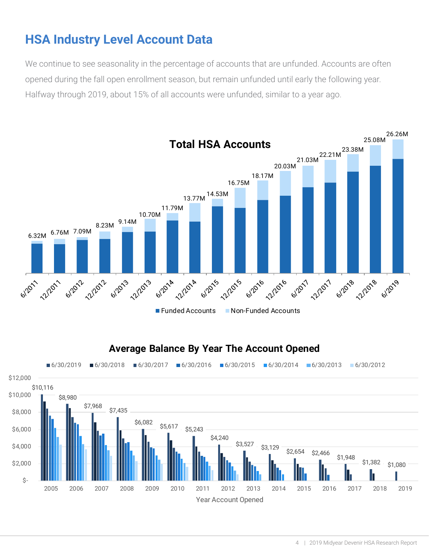# <span id="page-3-0"></span>**HSA Industry Level Account Data**

We continue to see seasonality in the percentage of accounts that are unfunded. Accounts are often opened during the fall open enrollment season, but remain unfunded until early the following year. Halfway through 2019, about 15% of all accounts were unfunded, similar to a year ago.

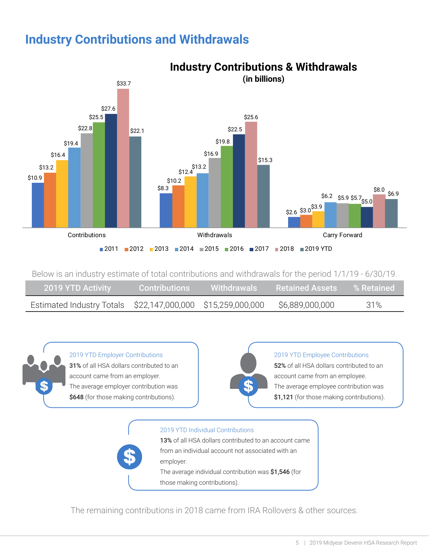### <span id="page-4-0"></span>**Industry Contributions and Withdrawals**



Below is an industry estimate of total contributions and withdrawals for the period 1/1/19 - 6/30/19.

| 2019 YTD Activity                                           | Contributions | Withdrawals | <b>Example 2 Retained Assets Example 2 Retained</b> |     |
|-------------------------------------------------------------|---------------|-------------|-----------------------------------------------------|-----|
| Estimated Industry Totals \$22,147,000,000 \$15,259,000,000 |               |             | \$6,889,000,000                                     | 31% |



2019 YTD Employer Contributions 31% of all HSA dollars contributed to an account came from an employer. The average employer contribution was \$648 (for those making contributions).



#### 2019 YTD Employee Contributions

52% of all HSA dollars contributed to an account came from an employee. The average employee contribution was \$1,121 (for those making contributions).



The remaining contributions in 2018 came from IRA Rollovers & other sources.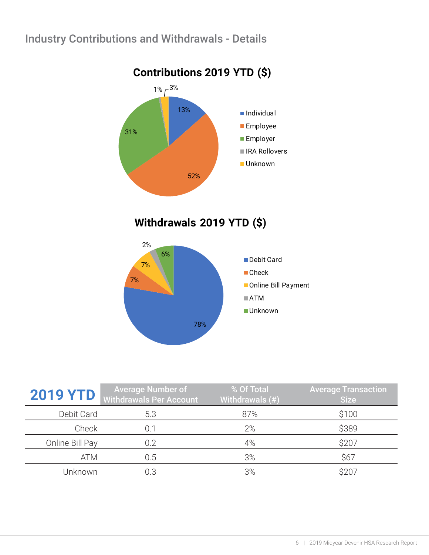#### Industry Contributions and Withdrawals - Details



**Withdrawals 2019 YTD (\$)**



| <b>2019 YTD</b> | <b>Average Number of</b><br><b>Withdrawals Per Account</b> | % Of Total<br>Withdrawals (#) | <b>Average Transaction</b><br><b>Size</b> |
|-----------------|------------------------------------------------------------|-------------------------------|-------------------------------------------|
| Debit Card      | 5.3                                                        | 87%                           | \$100                                     |
| Check           | 0.1                                                        | 2%                            | \$389                                     |
| Online Bill Pay | 0.2                                                        | 4%                            | \$207                                     |
| ATM             | 0.5                                                        | 3%                            | \$67                                      |
| Unknown         |                                                            | 3%                            | S20                                       |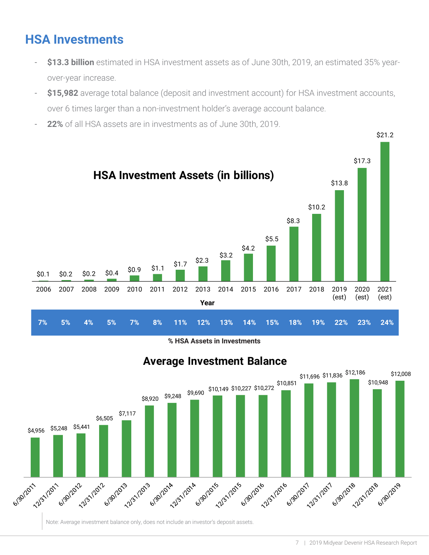# <span id="page-6-0"></span>**HSA Investments**

- \$13.3 **billion** estimated in HSA investment assets as of June 30th, 2019, an estimated 35% yearover-year increase.
- **\$15,982** average total balance (deposit and investment account) for HSA investment accounts, over 6 times larger than a non-investment holder's average account balance.
- **22%** of all HSA assets are in investments as of June 30th, 2019.



**% HSA Assets in Investments**



Note: Average investment balance only, does not include an investor's deposit assets.

**Average Investment Balance**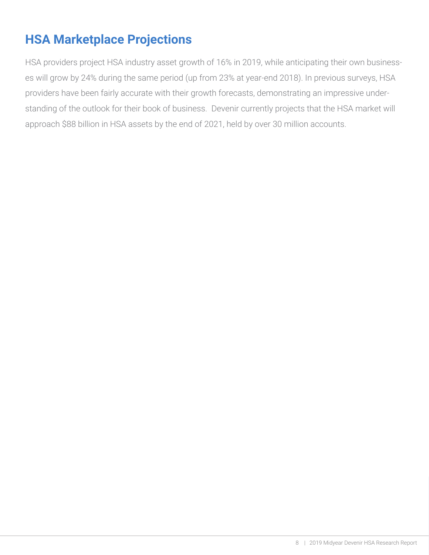# <span id="page-7-0"></span>**HSA Marketplace Projections**

HSA providers project HSA industry asset growth of 16% in 2019, while anticipating their own businesses will grow by 24% during the same period (up from 23% at year-end 2018). In previous surveys, HSA providers have been fairly accurate with their growth forecasts, demonstrating an impressive understanding of the outlook for their book of business. Devenir currently projects that the HSA market will approach \$88 billion in HSA assets by the end of 2021, held by over 30 million accounts.